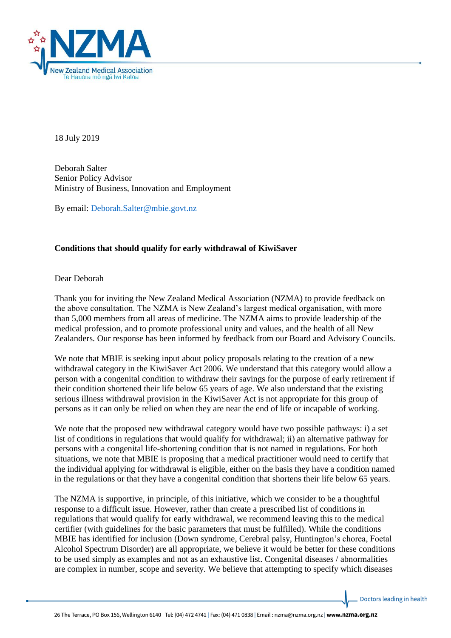

18 July 2019

Deborah Salter Senior Policy Advisor Ministry of Business, Innovation and Employment

By email: [Deborah.Salter@mbie.govt.nz](mailto:Deborah.Salter@mbie.govt.nz)

## **Conditions that should qualify for early withdrawal of KiwiSaver**

Dear Deborah

Thank you for inviting the New Zealand Medical Association (NZMA) to provide feedback on the above consultation. The NZMA is New Zealand's largest medical organisation, with more than 5,000 members from all areas of medicine. The NZMA aims to provide leadership of the medical profession, and to promote professional unity and values, and the health of all New Zealanders. Our response has been informed by feedback from our Board and Advisory Councils.

We note that MBIE is seeking input about policy proposals relating to the creation of a new withdrawal category in the KiwiSaver Act 2006. We understand that this category would allow a person with a congenital condition to withdraw their savings for the purpose of early retirement if their condition shortened their life below 65 years of age. We also understand that the existing serious illness withdrawal provision in the KiwiSaver Act is not appropriate for this group of persons as it can only be relied on when they are near the end of life or incapable of working.

We note that the proposed new withdrawal category would have two possible pathways: i) a set list of conditions in regulations that would qualify for withdrawal; ii) an alternative pathway for persons with a congenital life-shortening condition that is not named in regulations. For both situations, we note that MBIE is proposing that a medical practitioner would need to certify that the individual applying for withdrawal is eligible, either on the basis they have a condition named in the regulations or that they have a congenital condition that shortens their life below 65 years.

The NZMA is supportive, in principle, of this initiative, which we consider to be a thoughtful response to a difficult issue. However, rather than create a prescribed list of conditions in regulations that would qualify for early withdrawal, we recommend leaving this to the medical certifier (with guidelines for the basic parameters that must be fulfilled). While the conditions MBIE has identified for inclusion (Down syndrome, Cerebral palsy, Huntington's chorea, Foetal Alcohol Spectrum Disorder) are all appropriate, we believe it would be better for these conditions to be used simply as examples and not as an exhaustive list. Congenital diseases / abnormalities are complex in number, scope and severity. We believe that attempting to specify which diseases

Doctors leading in health